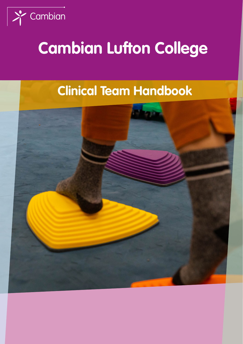

# **Cambian Lufton College**

# **Clinical Team Handbook**

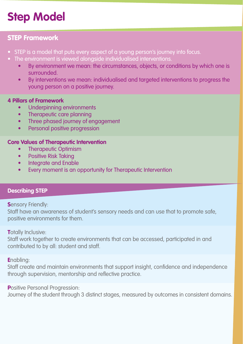# **Step Model**

#### STEP Framework

- STEP is a model that puts every aspect of a young person's journey into focus.
- The environment is viewed alongside individualised interventions.
	- By environment we mean: the circumstances, objects, or conditions by which one is surrounded.
	- By interventions we mean: individualised and targeted interventions to progress the young person on a positive journey.

#### **4 Pillars of Framework**

- Underpinning environments
- Therapeutic care planning
- Three phased journey of engagement
- Personal positive progression

#### **Core Values of Therapeutic Intervention**

- Therapeutic Optimism
- Positive Risk Taking
- Integrate and Enable
- Every moment is an opportunity for Therapeutic Intervention

#### **Describing STEP**

**S**ensory Friendly:

Staff have an awareness of student's sensory needs and can use that to promote safe, positive environments for them.

#### **T**otally Inclusive:

Staff work together to create environments that can be accessed, participated in and contributed to by all: student and staff.

**E**nabling:

Staff create and maintain environments that support insight, confidence and independence through supervision, mentorship and reflective practice.

**Positive Personal Progression:** 

Journey of the student through 3 distinct stages, measured by outcomes in consistent domains.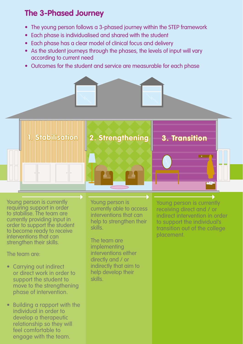### **The 3-Phased Journey**

- The young person follows a 3-phased journey within the STEP framework
- Each phase is individualised and shared with the student
- Each phase has a clear model of clinical focus and delivery
- As the student journeys through the phases, the levels of input will vary according to current need
- Outcomes for the student and service are measurable for each phase



**1. Stabilisation 2. Strengthening 3. Transition**

Young person is currently requiring support in order to stabilise. The team are currently providing input in order to support the student to become ready to receive interventions that can strengthen their skills.

The team are:

- Carrying out indirect or direct work in order to support the student to move to the strengthening phase of intervention.
- Building a rapport with the individual in order to develop a therapeutic relationship so they will feel comfortable to engage with the team.

Young person is currently able to access interventions that can help to strengthen their skills.

The team are implementing interventions either directly and / or indirectly that aim to help develop their skills.

Young person is currently receiving direct and / or indirect intervention in order to support the individual's transition out of the college placement.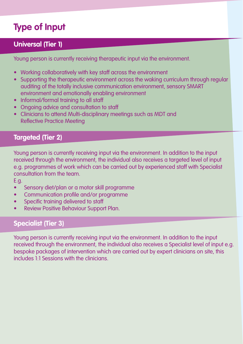### **Type of Input**

#### **Universal (Tier 1)**

Young person is currently receiving therapeutic input via the environment.

- Working collaboratively with key staff across the environment
- Supporting the therapeutic environment across the waking curriculum through regular auditing of the totally inclusive communication environment, sensory SMART environment and emotionally enabling environment
- Informal/formal training to all staff
- Ongoing advice and consultation to staff
- Clinicians to attend Multi-disciplinary meetings such as MDT and Reflective Practice Meeting

#### **Targeted (Tier 2)**

Young person is currently receiving input via the environment. In addition to the input received through the environment, the individual also receives a targeted level of input e.g. programmes of work which can be carried out by experienced staff with Specialist consultation from the team.

E.g.

- Sensory diet/plan or a motor skill programme
- Communication profile and/or programme
- Specific training delivered to staff
- Review Positive Behaviour Support Plan.

#### **Specialist (Tier 3)**

Young person is currently receiving input via the environment. In addition to the input received through the environment, the individual also receives a Specialist level of input e.g. bespoke packages of intervention which are carried out by expert clinicians on site, this includes 1:1 Sessions with the clinicians.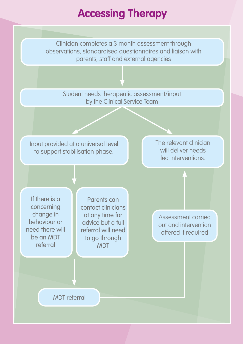## **Accessing Therapy**

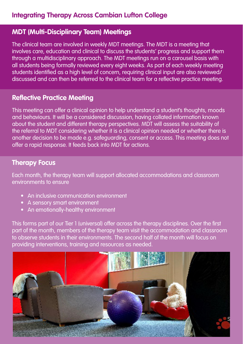#### **MDT (Multi-Disciplinary Team) Meetings**

The clinical team are involved in weekly MDT meetings. The MDT is a meeting that involves care, education and clinical to discuss the students' progress and support them through a multidisciplinary approach. The MDT meetings run on a carousel basis with all students being formally reviewed every eight weeks. As part of each weekly meeting students identified as a high level of concern, requiring clinical input are also reviewed/ discussed and can then be referred to the clinical team for a reflective practice meeting.

#### **Reflective Practice Meeting**

This meeting can offer a clinical opinion to help understand a student's thoughts, moods and behaviours. It will be a considered discussion, having collated information known about the student and different therapy perspectives. MDT will assess the suitability of the referral to MDT considering whether it is a clinical opinion needed or whether there is another decision to be made e.g. safeguarding, consent or access. This meeting does not offer a rapid response. It feeds back into MDT for actions.

#### **Therapy Focus**

Each month, the therapy team will support allocated accommodations and classroom environments to ensure

- An inclusive communication environment
- A sensory smart environment
- An emotionally-healthy environment

This forms part of our Tier 1 (universal) offer across the therapy disciplines. Over the first part of the month, members of the therapy team visit the accommodation and classroom to observe students in their environments. The second half of the month will focus on providing interventions, training and resources as needed.

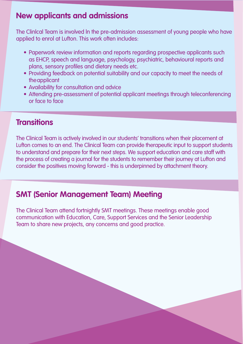#### **New applicants and admissions**

The Clinlcal Team is involved ln the pre-admission assessment of young people who have applied to enrol at Lufton. This work often includes:

- Paperwork review information and reports regarding prospective applicants such as EHCP, speech and language, psychology, psychiatric, behavioural reports and plans, sensory profiles and dietary needs etc.
- Providing feedback on potential suitability and our capacity to meet the needs of theapplicant
- Availability for consultation and advice
- Attending pre-assessment of potential applicant meetings through teleconferencing or face to face

#### **Transitions**

The Clinical Team is actively involved in our students' transitions when their placement at Lufton comes to an end. The Clinical Team can provide therapeutic input to support students to understand and prepare for their next steps. We support education and care staff with the process of creating a journal for the students to remember their journey at Lufton and consider the positives moving forward - this is underpinned by attachment theory.

#### **SMT (Senior Management Team) Meeting**

The Clinical Team attend fortnightly SMT meetings. These meetings enable good communication with Education, Care, Support Services and the Senior Leadership Team to share new projects, any concerns and good practice.